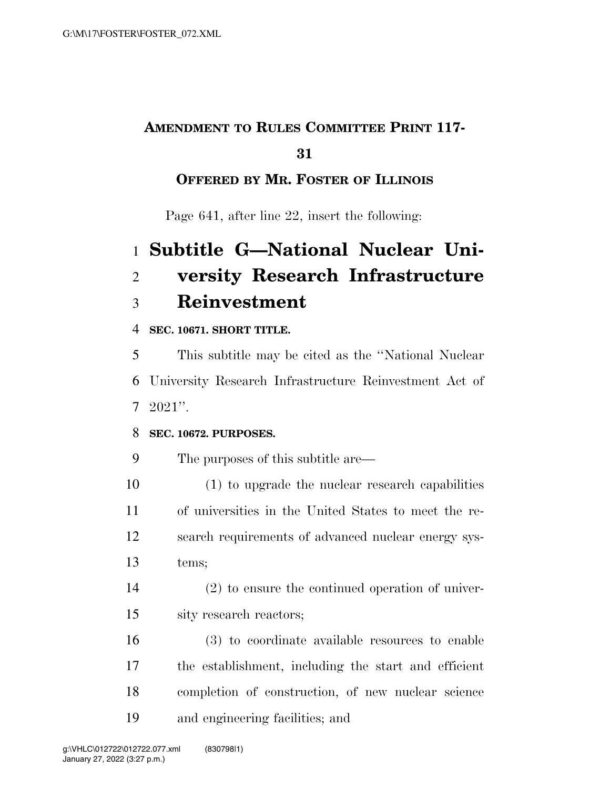## **AMENDMENT TO RULES COMMITTEE PRINT 117-**

### 

### **OFFERED BY MR. FOSTER OF ILLINOIS**

Page 641, after line 22, insert the following:

# **Subtitle G—National Nuclear Uni- versity Research Infrastructure Reinvestment**

### **SEC. 10671. SHORT TITLE.**

 This subtitle may be cited as the ''National Nuclear University Research Infrastructure Reinvestment Act of 2021''.

#### **SEC. 10672. PURPOSES.**

- The purposes of this subtitle are—
- (1) to upgrade the nuclear research capabilities of universities in the United States to meet the re- search requirements of advanced nuclear energy sys-tems;
- (2) to ensure the continued operation of univer-sity research reactors;
- (3) to coordinate available resources to enable the establishment, including the start and efficient completion of construction, of new nuclear science and engineering facilities; and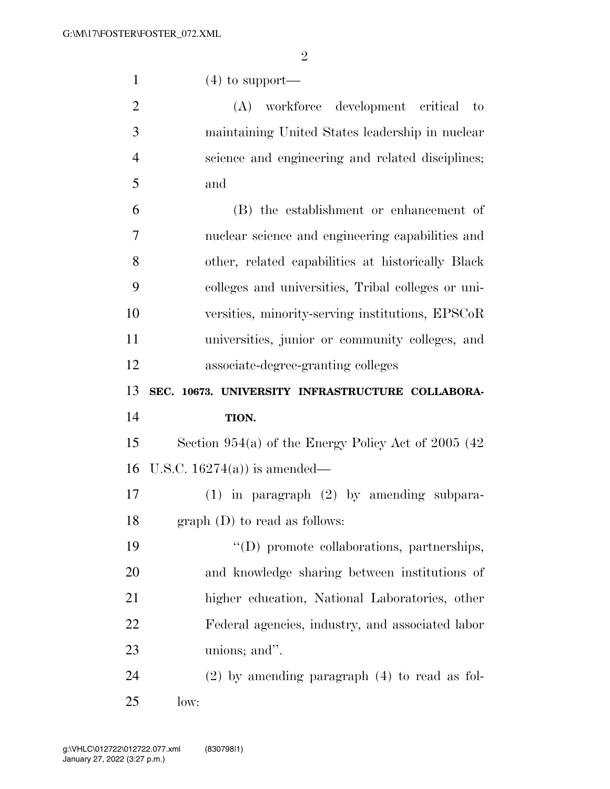| $\mathbf{1}$   | $(4)$ to support—                                      |  |  |  |  |  |  |  |
|----------------|--------------------------------------------------------|--|--|--|--|--|--|--|
| $\overline{2}$ | (A) workforce development critical to                  |  |  |  |  |  |  |  |
| 3              | maintaining United States leadership in nuclear        |  |  |  |  |  |  |  |
| $\overline{4}$ | science and engineering and related disciplines;       |  |  |  |  |  |  |  |
| 5              | and                                                    |  |  |  |  |  |  |  |
| 6              | (B) the establishment or enhancement of                |  |  |  |  |  |  |  |
| 7              | nuclear science and engineering capabilities and       |  |  |  |  |  |  |  |
| 8              | other, related capabilities at historically Black      |  |  |  |  |  |  |  |
| 9              | colleges and universities, Tribal colleges or uni-     |  |  |  |  |  |  |  |
| 10             | versities, minority-serving institutions, EPSCoR       |  |  |  |  |  |  |  |
| 11             | universities, junior or community colleges, and        |  |  |  |  |  |  |  |
| 12             | associate-degree-granting colleges                     |  |  |  |  |  |  |  |
|                |                                                        |  |  |  |  |  |  |  |
| 13             | SEC. 10673. UNIVERSITY INFRASTRUCTURE COLLABORA-       |  |  |  |  |  |  |  |
| 14             | TION.                                                  |  |  |  |  |  |  |  |
| 15             | Section $954(a)$ of the Energy Policy Act of 2005 (42) |  |  |  |  |  |  |  |
| 16             | U.S.C. $16274(a)$ is amended—                          |  |  |  |  |  |  |  |
| 17             | $(1)$ in paragraph $(2)$ by amending subpara-          |  |  |  |  |  |  |  |
| 18             | graph (D) to read as follows:                          |  |  |  |  |  |  |  |
| 19             | "(D) promote collaborations, partnerships,             |  |  |  |  |  |  |  |
| 20             | and knowledge sharing between institutions of          |  |  |  |  |  |  |  |
| 21             | higher education, National Laboratories, other         |  |  |  |  |  |  |  |
| 22             | Federal agencies, industry, and associated labor       |  |  |  |  |  |  |  |
| 23             | unions; and".                                          |  |  |  |  |  |  |  |
| 24             | $(2)$ by amending paragraph $(4)$ to read as fol-      |  |  |  |  |  |  |  |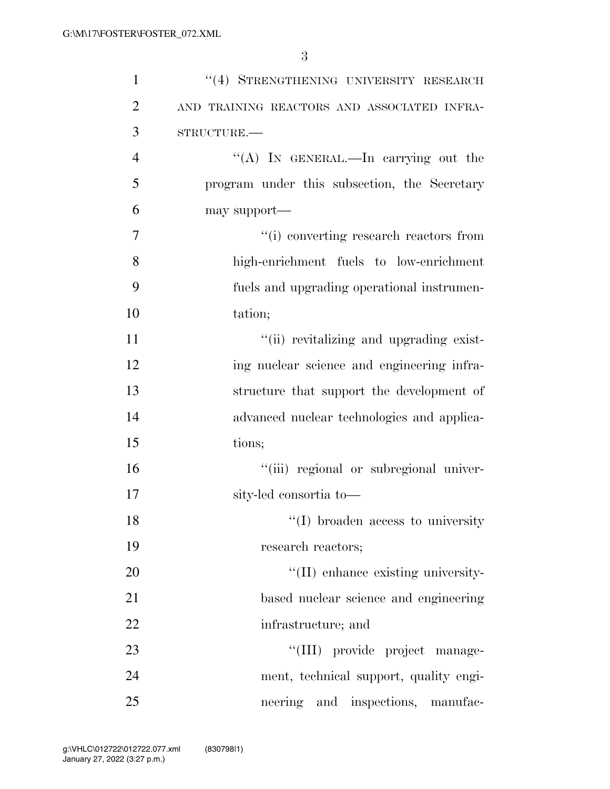| $\mathbf{1}$   | "(4) STRENGTHENING UNIVERSITY RESEARCH       |
|----------------|----------------------------------------------|
| $\overline{2}$ | AND TRAINING REACTORS AND ASSOCIATED INFRA-  |
| 3              | STRUCTURE.                                   |
| $\overline{4}$ | "(A) IN GENERAL.—In carrying out the         |
| 5              | program under this subsection, the Secretary |
| 6              | may support—                                 |
| 7              | "(i) converting research reactors from       |
| 8              | high-enrichment fuels to low-enrichment      |
| 9              | fuels and upgrading operational instrumen-   |
| 10             | tation;                                      |
| 11             | "(ii) revitalizing and upgrading exist-      |
| 12             | ing nuclear science and engineering infra-   |
| 13             | structure that support the development of    |
| 14             | advanced nuclear technologies and applica-   |
| 15             | tions;                                       |
| 16             | "(iii) regional or subregional univer-       |
| 17             | sity-led consortia to-                       |
| 18             | $\lq(1)$ broaden access to university        |
| 19             | research reactors;                           |
| 20             | "(II) enhance existing university-           |
| 21             | based nuclear science and engineering        |
| 22             | infrastructure; and                          |
| 23             | "(III) provide project manage-               |
| 24             | ment, technical support, quality engi-       |
| 25             | neering and inspections, manufac-            |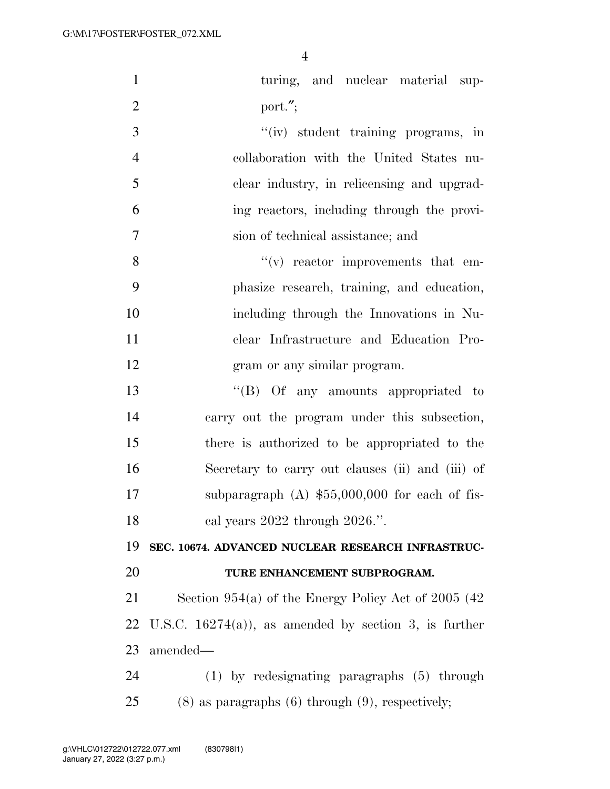| $\mathbf{1}$   | turing, and nuclear material sup-                       |  |  |  |  |  |  |  |
|----------------|---------------------------------------------------------|--|--|--|--|--|--|--|
| $\overline{2}$ | port.";                                                 |  |  |  |  |  |  |  |
| 3              | "(iv) student training programs, in                     |  |  |  |  |  |  |  |
| $\overline{4}$ | collaboration with the United States nu-                |  |  |  |  |  |  |  |
| 5              | clear industry, in relicensing and upgrad-              |  |  |  |  |  |  |  |
| 6              | ing reactors, including through the provi-              |  |  |  |  |  |  |  |
| $\overline{7}$ | sion of technical assistance; and                       |  |  |  |  |  |  |  |
| 8              | $f'(v)$ reactor improvements that em-                   |  |  |  |  |  |  |  |
| 9              | phasize research, training, and education,              |  |  |  |  |  |  |  |
| 10             | including through the Innovations in Nu-                |  |  |  |  |  |  |  |
| 11             | clear Infrastructure and Education Pro-                 |  |  |  |  |  |  |  |
| 12             | gram or any similar program.                            |  |  |  |  |  |  |  |
| 13             | "(B) Of any amounts appropriated to                     |  |  |  |  |  |  |  |
| 14             | carry out the program under this subsection,            |  |  |  |  |  |  |  |
| 15             | there is authorized to be appropriated to the           |  |  |  |  |  |  |  |
| 16             | Secretary to carry out clauses (ii) and (iii) of        |  |  |  |  |  |  |  |
| 17             | subparagraph $(A)$ \$55,000,000 for each of fis-        |  |  |  |  |  |  |  |
| 18             | cal years $2022$ through $2026$ .".                     |  |  |  |  |  |  |  |
| 19             | SEC. 10674. ADVANCED NUCLEAR RESEARCH INFRASTRUC-       |  |  |  |  |  |  |  |
| 20             | TURE ENHANCEMENT SUBPROGRAM.                            |  |  |  |  |  |  |  |
| 21             | Section 954(a) of the Energy Policy Act of 2005 (42)    |  |  |  |  |  |  |  |
| 22             | U.S.C. $16274(a)$ , as amended by section 3, is further |  |  |  |  |  |  |  |
| 23             | amended—                                                |  |  |  |  |  |  |  |
| 24             | $(1)$ by redesignating paragraphs $(5)$ through         |  |  |  |  |  |  |  |
| 25             | $(8)$ as paragraphs $(6)$ through $(9)$ , respectively; |  |  |  |  |  |  |  |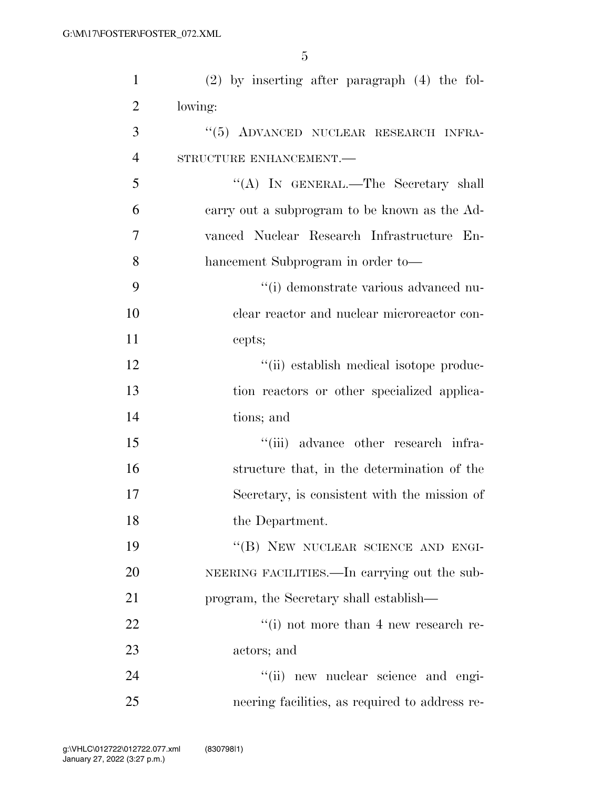| $\mathbf{1}$   | $(2)$ by inserting after paragraph $(4)$ the fol- |  |  |  |  |  |  |  |
|----------------|---------------------------------------------------|--|--|--|--|--|--|--|
| $\overline{2}$ | lowing:                                           |  |  |  |  |  |  |  |
| 3              | "(5) ADVANCED NUCLEAR RESEARCH INFRA-             |  |  |  |  |  |  |  |
| $\overline{4}$ | STRUCTURE ENHANCEMENT.-                           |  |  |  |  |  |  |  |
| 5              | "(A) IN GENERAL.—The Secretary shall              |  |  |  |  |  |  |  |
| 6              | carry out a subprogram to be known as the Ad-     |  |  |  |  |  |  |  |
| 7              | vanced Nuclear Research Infrastructure En-        |  |  |  |  |  |  |  |
| 8              | hancement Subprogram in order to-                 |  |  |  |  |  |  |  |
| 9              | "(i) demonstrate various advanced nu-             |  |  |  |  |  |  |  |
| 10             | clear reactor and nuclear microreactor con-       |  |  |  |  |  |  |  |
| 11             | cepts;                                            |  |  |  |  |  |  |  |
| 12             | "(ii) establish medical isotope produc-           |  |  |  |  |  |  |  |
| 13             | tion reactors or other specialized applica-       |  |  |  |  |  |  |  |
| 14             | tions; and                                        |  |  |  |  |  |  |  |
| 15             | "(iii) advance other research infra-              |  |  |  |  |  |  |  |
| 16             | structure that, in the determination of the       |  |  |  |  |  |  |  |
| 17             | Secretary, is consistent with the mission of      |  |  |  |  |  |  |  |
| 18             | the Department.                                   |  |  |  |  |  |  |  |
| 19             | "(B) NEW NUCLEAR SCIENCE AND ENGI-                |  |  |  |  |  |  |  |
| 20             | NEERING FACILITIES.—In carrying out the sub-      |  |  |  |  |  |  |  |
| 21             | program, the Secretary shall establish—           |  |  |  |  |  |  |  |
| 22             | $``(i)$ not more than 4 new research re-          |  |  |  |  |  |  |  |
| 23             | actors; and                                       |  |  |  |  |  |  |  |
| 24             | "(ii) new nuclear science and engi-               |  |  |  |  |  |  |  |
| 25             | neering facilities, as required to address re-    |  |  |  |  |  |  |  |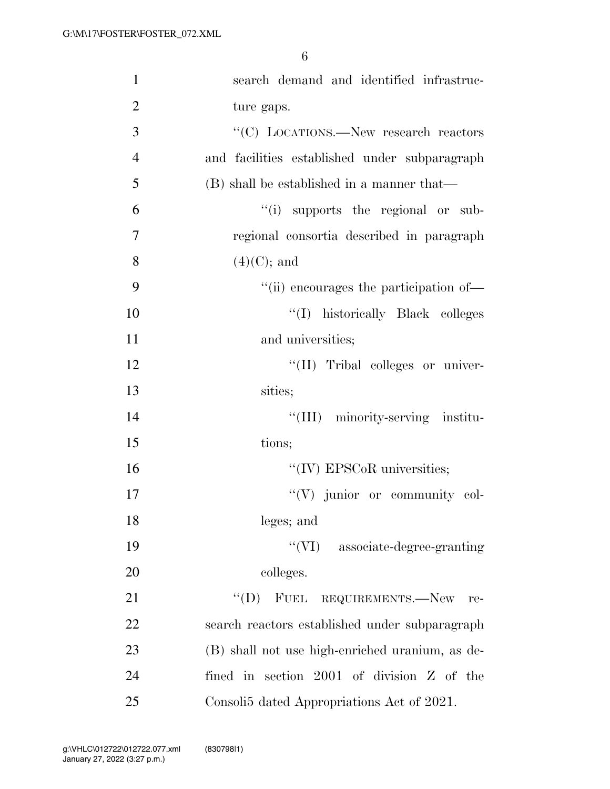| $\mathbf{1}$   | search demand and identified infrastruc-        |
|----------------|-------------------------------------------------|
| $\overline{2}$ | ture gaps.                                      |
| $\overline{3}$ | "(C) LOCATIONS.—New research reactors           |
| $\overline{4}$ | and facilities established under subparagraph   |
| 5              | (B) shall be established in a manner that—      |
| 6              | "(i) supports the regional or sub-              |
| $\overline{7}$ | regional consortia described in paragraph       |
| 8              | $(4)(C)$ ; and                                  |
| 9              | "(ii) encourages the participation of—          |
| 10             | "(I) historically Black colleges                |
| 11             | and universities;                               |
| 12             | "(II) Tribal colleges or univer-                |
| 13             | sities;                                         |
| 14             | "(III) minority-serving institu-                |
| 15             | tions;                                          |
| 16             | $\lq\lq$ (IV) EPSCoR universities;              |
| 17             | "(V) junior or community col-                   |
| 18             | leges; and                                      |
| 19             | $\lq\lq$ (VI) associate-degree-granting         |
| 20             | colleges.                                       |
| 21             | $"(D)$ FUEL REQUIREMENTS.—New<br>re-            |
| 22             | search reactors established under subparagraph  |
| 23             | (B) shall not use high-enriched uranium, as de- |
| 24             | fined in section $2001$ of division $Z$ of the  |
| 25             | Consoli5 dated Appropriations Act of 2021.      |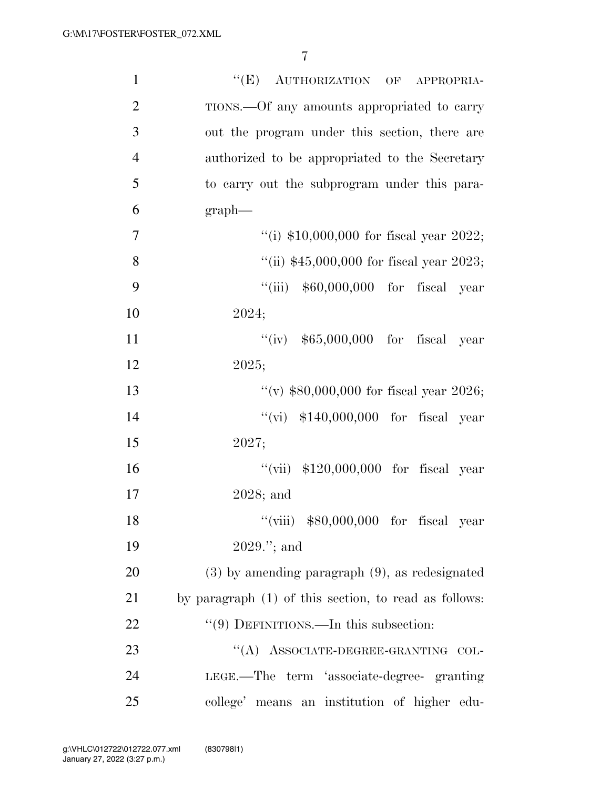| $\mathbf{1}$   | "(E) AUTHORIZATION OF<br>APPROPRIA-                   |  |  |  |  |  |  |  |
|----------------|-------------------------------------------------------|--|--|--|--|--|--|--|
| $\overline{2}$ | TIONS.—Of any amounts appropriated to carry           |  |  |  |  |  |  |  |
| 3              | out the program under this section, there are         |  |  |  |  |  |  |  |
| $\overline{4}$ | authorized to be appropriated to the Secretary        |  |  |  |  |  |  |  |
| 5              | to carry out the subprogram under this para-          |  |  |  |  |  |  |  |
| 6              | $graph$ —                                             |  |  |  |  |  |  |  |
| $\tau$         | "(i) $$10,000,000$ for fiscal year 2022;              |  |  |  |  |  |  |  |
| 8              | "(ii) $$45,000,000$ for fiscal year 2023;             |  |  |  |  |  |  |  |
| 9              | "(iii) $$60,000,000$ for fiscal year                  |  |  |  |  |  |  |  |
| 10             | 2024;                                                 |  |  |  |  |  |  |  |
| 11             | "(iv) $$65,000,000$ for fiscal year                   |  |  |  |  |  |  |  |
| 12             | 2025;                                                 |  |  |  |  |  |  |  |
| 13             | "(v) $$80,000,000$ for fiscal year 2026;              |  |  |  |  |  |  |  |
| 14             | "(vi) $$140,000,000$ for fiscal year                  |  |  |  |  |  |  |  |
| 15             | 2027;                                                 |  |  |  |  |  |  |  |
| 16             | "(vii) $$120,000,000$ for fiscal year                 |  |  |  |  |  |  |  |
| 17             | $2028$ ; and                                          |  |  |  |  |  |  |  |
| 18             | "(viii) $$80,000,000$ for fiscal year                 |  |  |  |  |  |  |  |
| 19             | $2029."$ ; and                                        |  |  |  |  |  |  |  |
| 20             | $(3)$ by amending paragraph $(9)$ , as redesignated   |  |  |  |  |  |  |  |
| 21             | by paragraph (1) of this section, to read as follows: |  |  |  |  |  |  |  |
| 22             | $\lq(9)$ DEFINITIONS.—In this subsection:             |  |  |  |  |  |  |  |
| 23             | "(A) ASSOCIATE-DEGREE-GRANTING COL-                   |  |  |  |  |  |  |  |
| 24             | LEGE.—The term 'associate-degree- granting            |  |  |  |  |  |  |  |
| 25             | college' means an institution of higher edu-          |  |  |  |  |  |  |  |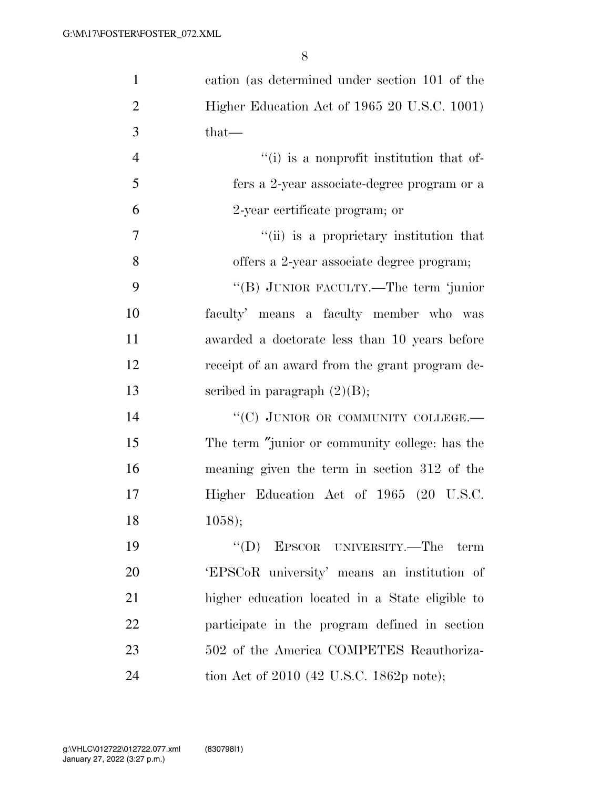| $\mathbf{1}$   | cation (as determined under section 101 of the  |
|----------------|-------------------------------------------------|
| $\overline{2}$ | Higher Education Act of 1965 20 U.S.C. 1001)    |
| 3              | that—                                           |
| $\overline{4}$ | "(i) is a nonprofit institution that of-        |
| 5              | fers a 2-year associate-degree program or a     |
| 6              | 2-year certificate program; or                  |
| $\overline{7}$ | "(ii) is a proprietary institution that         |
| 8              | offers a 2-year associate degree program;       |
| 9              | "(B) JUNIOR FACULTY.—The term 'junior           |
| 10             | faculty' means a faculty member who was         |
| 11             | awarded a doctorate less than 10 years before   |
| 12             | receipt of an award from the grant program de-  |
| 13             | scribed in paragraph $(2)(B)$ ;                 |
| 14             | "(C) JUNIOR OR COMMUNITY COLLEGE.-              |
| 15             | The term "junior or community college: has the  |
| 16             | meaning given the term in section 312 of the    |
| 17             | Higher Education Act of 1965 (20 U.S.C.         |
| 18             | 1058);                                          |
| 19             | "(D) EPSCOR UNIVERSITY.—The term                |
| 20             | 'EPSCoR university' means an institution of     |
| 21             | higher education located in a State eligible to |
| 22             | participate in the program defined in section   |
| 23             | 502 of the America COMPETES Reauthoriza-        |
| 24             | tion Act of 2010 (42 U.S.C. 1862p note);        |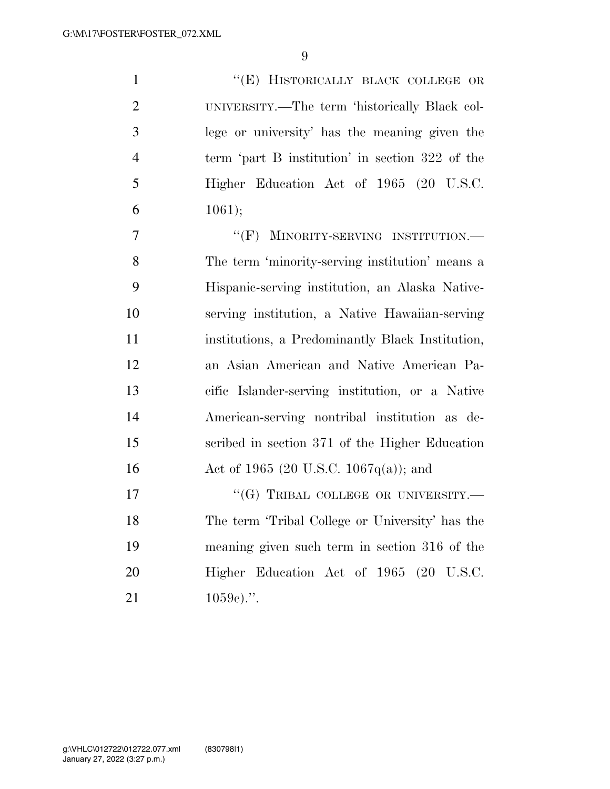1 "'(E) HISTORICALLY BLACK COLLEGE OR UNIVERSITY.—The term 'historically Black col- lege or university' has the meaning given the term 'part B institution' in section 322 of the Higher Education Act of 1965 (20 U.S.C. 6 ;

7 "'(F) MINORITY-SERVING INSTITUTION. The term 'minority-serving institution' means a Hispanic-serving institution, an Alaska Native- serving institution, a Native Hawaiian-serving institutions, a Predominantly Black Institution, an Asian American and Native American Pa- cific Islander-serving institution, or a Native American-serving nontribal institution as de- scribed in section 371 of the Higher Education 16 Act of 1965 (20 U.S.C. 1067q(a)); and

17 "(G) TRIBAL COLLEGE OR UNIVERSITY.— The term 'Tribal College or University' has the meaning given such term in section 316 of the Higher Education Act of 1965 (20 U.S.C. 21  $1059e$ .".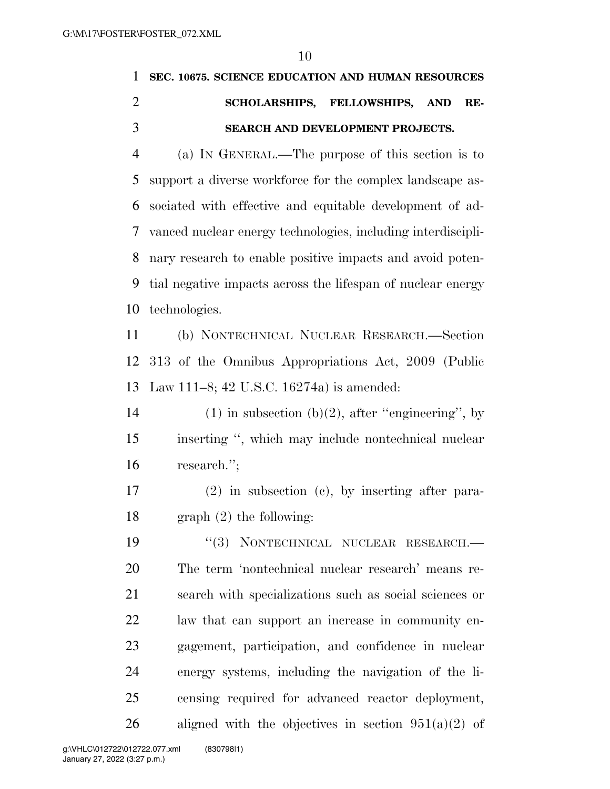|                | SEC. 10675. SCIENCE EDUCATION AND HUMAN RESOURCES            |  |  |  |  |  |  |
|----------------|--------------------------------------------------------------|--|--|--|--|--|--|
| $\overline{2}$ | SCHOLARSHIPS, FELLOWSHIPS, AND<br>RE-                        |  |  |  |  |  |  |
| 3              | <b>SEARCH AND DEVELOPMENT PROJECTS.</b>                      |  |  |  |  |  |  |
| 4              | (a) IN GENERAL.—The purpose of this section is to            |  |  |  |  |  |  |
|                | 5 support a diverse workforce for the complex landscape as-  |  |  |  |  |  |  |
|                | 6 sociated with effective and equitable development of ad-   |  |  |  |  |  |  |
| 7              | vanced nuclear energy technologies, including interdiscipli- |  |  |  |  |  |  |
| 8              | nary research to enable positive impacts and avoid poten-    |  |  |  |  |  |  |
|                |                                                              |  |  |  |  |  |  |

 tial negative impacts across the lifespan of nuclear energy technologies.

 (b) NONTECHNICAL NUCLEAR RESEARCH.—Section 313 of the Omnibus Appropriations Act, 2009 (Public Law 111–8; 42 U.S.C. 16274a) is amended:

14 (1) in subsection (b)(2), after "engineering", by inserting '', which may include nontechnical nuclear research.'';

 (2) in subsection (c), by inserting after para-graph (2) the following:

19 "(3) NONTECHNICAL NUCLEAR RESEARCH.— The term 'nontechnical nuclear research' means re- search with specializations such as social sciences or law that can support an increase in community en- gagement, participation, and confidence in nuclear energy systems, including the navigation of the li- censing required for advanced reactor deployment, 26 aligned with the objectives in section  $951(a)(2)$  of